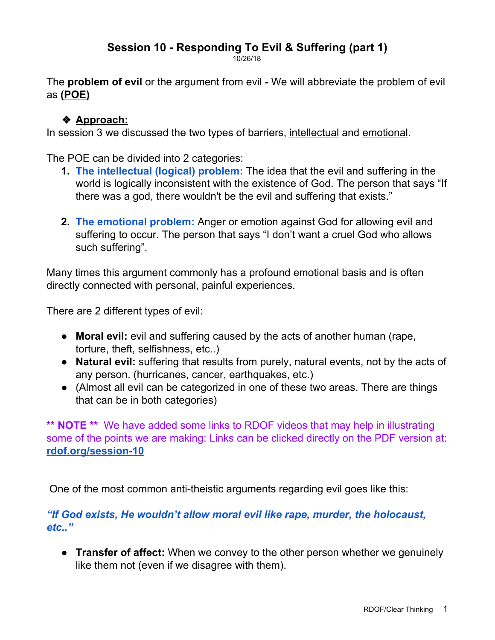# **Session 10 - Responding To Evil & Suffering (part 1)**

10/26/18

The **problem of evil** or the argument from evil **-** We will abbreviate the problem of evil as **(POE)**

## ❖ **Approach:**

In session 3 we discussed the two types of barriers, intellectual and emotional.

The POE can be divided into 2 categories:

- **1. The intellectual (logical) problem:** The idea that the evil and suffering in the world is logically inconsistent with the existence of God. The person that says "If there was a god, there wouldn't be the evil and suffering that exists."
- **2. The emotional problem:** Anger or emotion against God for allowing evil and suffering to occur. The person that says "I don't want a cruel God who allows such suffering".

Many times this argument commonly has a profound emotional basis and is often directly connected with personal, painful experiences.

There are 2 different types of evil:

- **Moral evil:** evil and suffering caused by the acts of another human (rape, torture, theft, selfishness, etc..)
- **Natural evil:** suffering that results from purely, natural events, not by the acts of any person. (hurricanes, cancer, earthquakes, etc.)
- (Almost all evil can be categorized in one of these two areas. There are things that can be in both categories)

**\*\* NOTE \*\*** We have added some links to RDOF videos that may help in illustrating some of the points we are making: Links can be clicked directly on the PDF version at: **[rdof.org/session-10](http://www.rdof.org/session-10)**

One of the most common anti-theistic arguments regarding evil goes like this:

*"If God exists, He wouldn't allow moral evil like rape, murder, the holocaust, etc.."*

● **Transfer of affect:** When we convey to the other person whether we genuinely like them not (even if we disagree with them).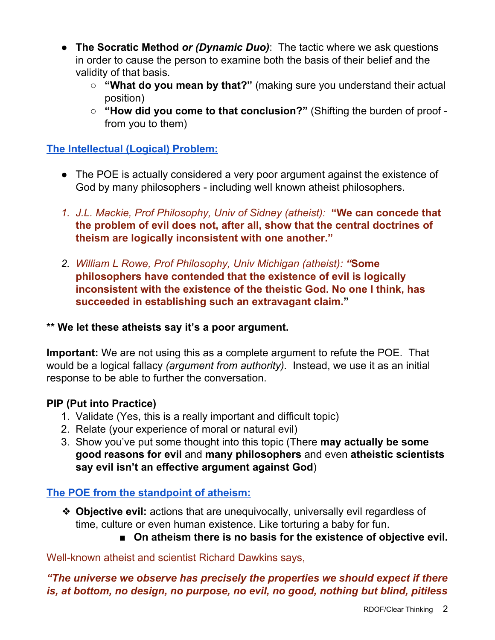- **The Socratic Method** *or (Dynamic Duo)*: The tactic where we ask questions in order to cause the person to examine both the basis of their belief and the validity of that basis.
	- **○ "What do you mean by that?"** (making sure you understand their actual position)
	- **"How did you come to that conclusion?"** (Shifting the burden of proof from you to them)

#### **The Intellectual (Logical) Problem:**

- The POE is actually considered a very poor argument against the existence of God by many philosophers - including well known atheist philosophers.
- *1. J.L. Mackie, Prof Philosophy, Univ of Sidney (atheist):* **"We can concede that the problem of evil does not, after all, show that the central doctrines of theism are logically inconsistent with one another."**
- *2. William L Rowe, Prof Philosophy, Univ Michigan (atheist): "***Some philosophers have contended that the existence of evil is logically inconsistent with the existence of the theistic God. No one I think, has succeeded in establishing such an extravagant claim."**

#### **\*\* We let these atheists say it's a poor argument.**

**Important:** We are not using this as a complete argument to refute the POE. That would be a logical fallacy *(argument from authority).* Instead, we use it as an initial response to be able to further the conversation.

## **PIP (Put into Practice)**

- 1. Validate (Yes, this is a really important and difficult topic)
- 2. Relate (your experience of moral or natural evil)
- 3. Show you've put some thought into this topic (There **may actually be some good reasons for evil** and **many philosophers** and even **atheistic scientists say evil isn't an effective argument against God**)

## **The POE from the standpoint of atheism:**

- ❖ **Objective evil:** actions that are unequivocally, universally evil regardless of time, culture or even human existence. Like torturing a baby for fun.
	- On atheism there is no basis for the existence of objective evil.

Well-known atheist and scientist Richard Dawkins says,

*"The universe we observe has precisely the properties we should expect if there is, at bottom, no design, no purpose, no evil, no good, nothing but blind, pitiless*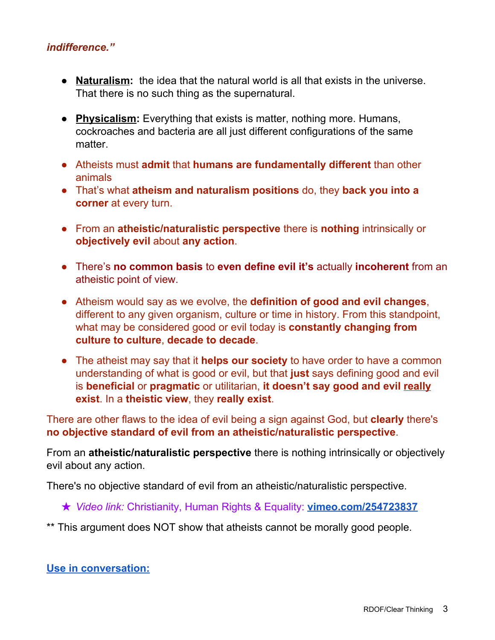#### *indifference."*

- **Naturalism:** the idea that the natural world is all that exists in the universe. That there is no such thing as the supernatural.
- **Physicalism:** Everything that exists is matter, nothing more. Humans, cockroaches and bacteria are all just different configurations of the same matter.
- Atheists must **admit** that **humans are fundamentally different** than other animals
- That's what **atheism and naturalism positions** do, they **back you into a corner** at every turn.
- From an **atheistic/naturalistic perspective** there is **nothing** intrinsically or **objectively evil** about **any action**.
- There's **no common basis** to **even define evil it's** actually **incoherent** from an atheistic point of view.
- Atheism would say as we evolve, the **definition of good and evil changes**, different to any given organism, culture or time in history. From this standpoint, what may be considered good or evil today is **constantly changing from culture to culture**, **decade to decade**.
- The atheist may say that it **helps our society** to have order to have a common understanding of what is good or evil, but that **just** says defining good and evil is **beneficial** or **pragmatic** or utilitarian, **it doesn't say good and evil really exist**. In a **theistic view**, they **really exist**.

There are other flaws to the idea of evil being a sign against God, but **clearly** there's **no objective standard of evil from an atheistic/naturalistic perspective**.

From an **atheistic/naturalistic perspective** there is nothing intrinsically or objectively evil about any action.

There's no objective standard of evil from an atheistic/naturalistic perspective.

★ *Video link:* Christianity, Human Rights & Equality: **[vimeo.com/254723837](https://vimeo.com/254723837)**

\*\* This argument does NOT show that atheists cannot be morally good people.

#### **Use in conversation:**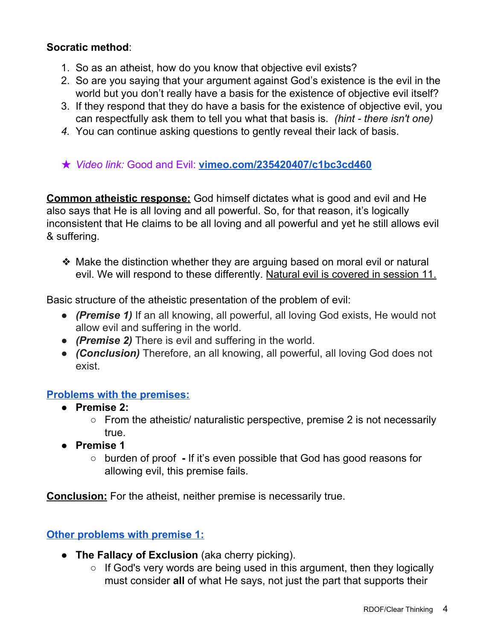#### **Socratic method**:

- 1. So as an atheist, how do you know that objective evil exists?
- 2. So are you saying that your argument against God's existence is the evil in the world but you don't really have a basis for the existence of objective evil itself?
- 3. If they respond that they do have a basis for the existence of objective evil, you can respectfully ask them to tell you what that basis is. *(hint - there isn't one)*
- *4.* You can continue asking questions to gently reveal their lack of basis.
- ★ *Video link:* Good and Evil: **[vimeo.com/235420407/c1bc3cd460](http://vimeo.com/235420407/c1bc3cd460)**

**Common atheistic response:** God himself dictates what is good and evil and He also says that He is all loving and all powerful. So, for that reason, it's logically inconsistent that He claims to be all loving and all powerful and yet he still allows evil & suffering.

❖ Make the distinction whether they are arguing based on moral evil or natural evil. We will respond to these differently. Natural evil is covered in session 11.

Basic structure of the atheistic presentation of the problem of evil:

- *(Premise 1)* If an all knowing, all powerful, all loving God exists, He would not allow evil and suffering in the world.
- *(Premise 2)* There is evil and suffering in the world.
- *(Conclusion)* Therefore, an all knowing, all powerful, all loving God does not exist.

#### **Problems with the premises:**

- **● Premise 2:**
	- $\circ$  From the atheistic/ naturalistic perspective, premise 2 is not necessarily true.
- **● Premise 1**
	- **○** burden of proof **-** If it's even possible that God has good reasons for allowing evil, this premise fails.

**Conclusion:** For the atheist, neither premise is necessarily true.

## **Other problems with premise 1:**

- **The Fallacy of Exclusion** (aka cherry picking).
	- If God's very words are being used in this argument, then they logically must consider **all** of what He says, not just the part that supports their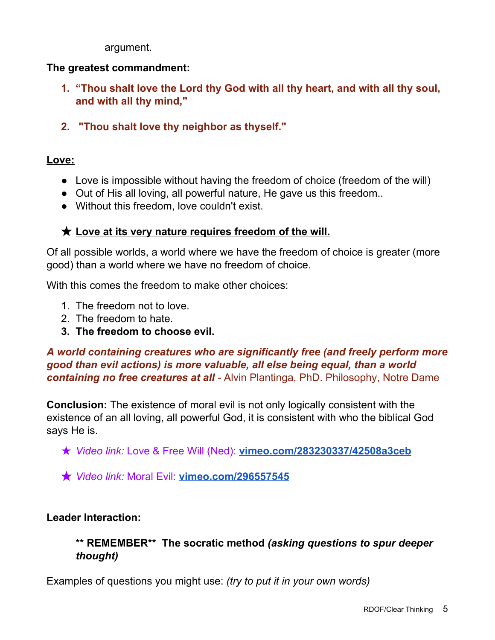argument.

#### **The greatest commandment:**

- **1. "Thou shalt love the Lord thy God with all thy heart, and with all thy soul, and with all thy mind,"**
- **2. "Thou shalt love thy neighbor as thyself."**

#### **Love:**

- Love is impossible without having the freedom of choice (freedom of the will)
- Out of His all loving, all powerful nature, He gave us this freedom..
- Without this freedom, love couldn't exist.

## ★ **Love at its very nature requires freedom of the will.**

Of all possible worlds, a world where we have the freedom of choice is greater (more good) than a world where we have no freedom of choice.

With this comes the freedom to make other choices:

- 1. The freedom not to love.
- 2. The freedom to hate.
- **3. The freedom to choose evil.**

### *A world containing creatures who are significantly free (and freely perform more good than evil actions) is more valuable, all else being equal, than a world containing no free creatures at all -* Alvin Plantinga, PhD. Philosophy, Notre Dame

**Conclusion:** The existence of moral evil is not only logically consistent with the existence of an all loving, all powerful God, it is consistent with who the biblical God says He is.

- ★ *Video link:* Love & Free Will (Ned): **[vimeo.com/283230337/42508a3ceb](http://vimeo.com/283230337/42508a3ceb)**
- ★ *Video link:* Moral Evil: **[vimeo.com/296557545](http://vimeo.com/296557545)**

#### **Leader Interaction:**

### **\*\* REMEMBER\*\* The socratic method** *(asking questions to spur deeper thought)*

Examples of questions you might use: *(try to put it in your own words)*